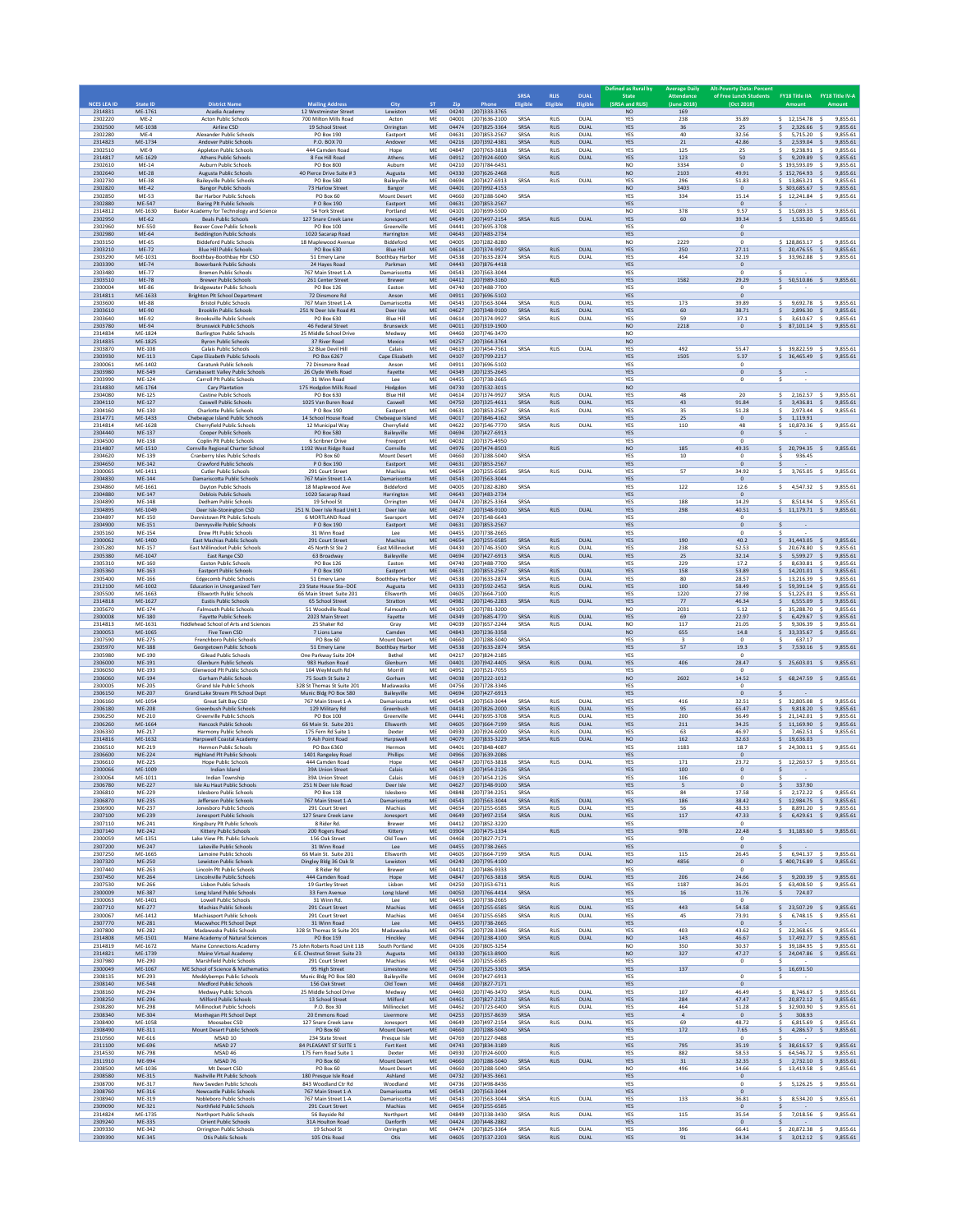| <b>NCES LEA ID</b>            | <b>State ID</b>              | <b>District Name</b>                                                                                   | <b>Mailing Address</b>                                              | City                                         | <b>ST</b>       | Zip                     | Phone                                                        | SRSA<br>Eligibl      | <b>RLIS</b><br>Eligible                   | <b>DUAL</b><br>Eligible            | Defined as Rural by<br><b>State</b><br>(SRSA and RLIS) | <b>Average Daily</b><br><b>Attendance</b><br>(June 2018) | <b>Alt-Poverty Data: Percen</b><br>of Free Lunch Students<br>(Oct 2018) | FY18 Title IIA FY18 Title IV-A                                                                                |
|-------------------------------|------------------------------|--------------------------------------------------------------------------------------------------------|---------------------------------------------------------------------|----------------------------------------------|-----------------|-------------------------|--------------------------------------------------------------|----------------------|-------------------------------------------|------------------------------------|--------------------------------------------------------|----------------------------------------------------------|-------------------------------------------------------------------------|---------------------------------------------------------------------------------------------------------------|
| 2314831<br>2302220            | ME-1761<br>$ME-2$            | Acadia Academy<br><b>Acton Public Schools</b>                                                          | 12 Westminster Street<br>700 Milton Mills Road                      | Lewiston<br>Acton                            | ME<br>ME        | 04240<br>04001          | (207)333-3765<br>(207)636-2100                               | SRSA                 | <b>RLIS</b>                               | DUAL                               | <b>NO</b><br><b>YES</b>                                | 169<br>238                                               | 35.89                                                                   | $5$ 12.154.78<br>9.855.61<br>- Ś                                                                              |
| 2302500<br>2302280            | ME-1038<br>$ME-4$            | Airline CSD<br>Alexander Public Schools                                                                | 19 School Street<br>PO Box 190                                      | Orrington<br>Eastport                        | ME<br>ME        | 04631                   | 04474 (207)825-3364<br>(207) 853-2567                        | <b>SRSA</b><br>SRSA  | <b>RLIS</b><br><b>RLIS</b>                | <b>DUAL</b><br>DUAL                | YES<br>YES                                             | 36<br>40                                                 | 25<br>32.56                                                             | \$<br>2,326.66<br>$\mathsf{S}$<br>9,855.61<br>5,715.20<br>9,855.61                                            |
| 2314823<br>2302510<br>2314817 | ME-1734<br>$ME-9$<br>ME-1629 | Andover Public Schools<br>Appleton Public Schools<br><b>Athens Public Schools</b>                      | P.O. BOX 70<br>444 Camden Road<br>8 Fox Hill Road                   | Andover<br>Hope<br>Athens                    | ME<br>ME<br>ME  | 04216<br>04847<br>04912 | (207)392-4381<br>$(207)763 - 3818$<br>(207)924-6000          | SRSA<br>SRSA<br>SRSA | <b>RLIS</b><br><b>RLIS</b><br><b>RLIS</b> | <b>DUAL</b><br>DUAL<br><b>DUAL</b> | <b>YES</b><br>YES<br>YES                               | 21<br>125<br>123                                         | 42.86<br>25<br>50                                                       | Ś.<br>2.539.04<br>9.855.61<br>-S<br>9,238.91<br>9,855.61<br>\$<br>s.<br>\$<br>9,209.89<br>9,855.61            |
| 2302610<br>2302640            | ME-14<br><b>ME-28</b>        | Auburn Public Schools<br>Augusta Public Schools                                                        | PO Box 800<br>40 Pierce Drive Suite #3                              | Auburn<br>Augusta                            | ME<br>ME        | 04210<br>04330          | $(207)784 - 6431$<br>(207)626-2468                           |                      | <b>RLIS</b>                               |                                    | NO<br>NO.                                              | 3334<br>2103                                             | $^{\circ}$<br>49.91                                                     | \$193,593.09<br>9,855.61<br>- Ś<br>$$152.764.93$ \$<br>9.855.61                                               |
| 2302730<br>2302820            | ME-38<br><b>ME-42</b>        | Bailevville Public Schools<br><b>Bangor Public Schools</b>                                             | <b>PO Box 580</b><br>73 Harlow Street                               | Baileyville<br>Bangor                        | ME<br>ME        | 04694<br>04401          | (207) 427-6913<br>(207)992-4153                              | SRSA                 | <b>RLIS</b>                               | DUAL                               | YES<br><b>NO</b>                                       | 296<br>3403                                              | 51.83<br>$\bf{0}$                                                       | \$13,863.21<br>9,855.61<br>$\leq$<br>$$303.685.67$ \$<br>9,855.61                                             |
| 2302850<br>2302880            | ME-53<br>ME-547              | <b>Bar Harbor Public Schools</b><br><b>Baring Plt Public Schools</b>                                   | PO Box 60<br>P O Box 190                                            | <b>Mount Desert</b><br>Eastport              | ME<br>ME        | 04660<br>04631          | (207)288-5040<br>(207) 853-2567                              | SRSA                 |                                           |                                    | <b>YES</b><br>YES                                      | 334                                                      | 15.14<br>$\bf{0}$                                                       | $5$ 12.241.84 \$<br>9,855.61                                                                                  |
| 2314812<br>2302950            | ME-1630<br>ME-62             | Baxter Academy for Technology and Science<br><b>Beals Public Schools</b>                               | 54 York Street<br>127 Snare Creek Lane                              | Portland<br>Jonesport                        | ME<br>ME        | 04101<br>04649          | (207)699-5500<br>(207) 497-2154                              | SRSA                 | <b>RLIS</b>                               | <b>DUAL</b>                        | NO<br>YES                                              | 378<br>60                                                | 9.57<br>39.34                                                           | \$<br>15,089.33<br>\$<br>9,855.61<br>\$1,535.00\$<br>9,855.61                                                 |
| 2302960<br>2302980<br>2303150 | ME-550<br>ME-64<br>ME-65     | Beaver Cove Public Schools<br><b>Beddington Public Schools</b><br><b>Biddeford Public Schools</b>      | PO Box 100<br>1020 Sacarap Road<br>18 Maplewood Avenue              | Greenville<br>Harrington<br>Biddeford        | ME<br>ME<br>ME  | 04441<br>04643<br>04005 | (207)695-3708<br>(207) 483-2734<br>(207) 282-8280            |                      |                                           |                                    | <b>YES</b><br>YES<br>NO                                | 2229                                                     | $^{\circ}$<br>$\mathbf 0$<br>$\theta$                                   | \$128,863.17<br>9,855.61                                                                                      |
| 2303210<br>2303290            | <b>ME-72</b><br>ME-1031      | <b>Blue Hill Public Schools</b><br>Boothbay-Boothbay Hbr CSD                                           | PO Box 630<br>51 Emery Lane                                         | <b>Blue Hill</b><br><b>Boothbay Harbor</b>   | ME<br>ME        | 04614<br>04538          | (207)374-9927<br>(207) 633-2874                              | SRSA<br>SRSA         | <b>RLIS</b><br><b>RLIS</b>                | <b>DUAL</b><br>DUAL                | <b>YES</b><br>YES                                      | 250<br>454                                               | 27.11<br>32.19                                                          | \$20.476.55\$<br>9.855.61<br>$$33,962.88$ \$<br>9,855.61                                                      |
| 2303390<br>2303480            | ME-74<br>ME-77               | <b>Bowerbank Public Schools</b><br><b>Bremen Public Schools</b>                                        | 24 Hayes Road<br>767 Main Street 1-A                                | Parkman<br>Damariscotta                      | ME<br>ME        | 04443<br>04543          | (207) 876-4418<br>(207) 563-3044                             |                      |                                           |                                    | YES<br>YES                                             |                                                          | $\,$ 0 $\,$<br>$\mathbf{0}$                                             |                                                                                                               |
| 2303510<br>2300004            | <b>ME-78</b><br>ME-86        | <b>Brewer Public Schools</b><br><b>Bridgewater Public Schools</b>                                      | 261 Center Street<br>PO Box 126                                     | Brewer<br>Easton                             | ME<br>MF        | 04412<br>04740          | (207)989-3160<br>(207)488-7700                               |                      | <b>RLIS</b>                               |                                    | <b>YES</b><br>YES                                      | 1582                                                     | 29.29<br>$\Omega$                                                       | $$5,50,510.86$ \$<br>9.855.61                                                                                 |
| 2314811<br>2303600            | ME-1633<br>ME-88             | <b>Brighton Plt School Department</b><br><b>Bristol Public Schools</b>                                 | 72 Dinsmore Rd<br>767 Main Street 1-A                               | Anson<br>Damariscotta                        | ME<br>ME        | 04543                   | 04911 (207)696-5102<br>(207) 563-3044                        | SRSA                 | <b>RLIS</b>                               | DUAL                               | YES<br>YES                                             | 173                                                      | $\mathbf 0$<br>39.89                                                    | 9,692.78 \$<br>9,855.61<br>\$.                                                                                |
| 2303610<br>2303640<br>2303780 | ME-90<br>ME-92<br>ME-94      | <b>Brooklin Public Schools</b><br><b>Brooksville Public Schools</b><br><b>Brunswick Public Schools</b> | 251 N Deer Isle Road #1<br>PO Box 630<br>46 Federal Street          | Deer Isle<br><b>Blue Hil</b><br>Brunswick    | ME<br>ME<br>ME  | 04627<br>04614<br>04011 | (207)348-9100<br>(207)374-9927<br>(207)319-1900              | SRSA<br>SRSA         | <b>RLIS</b><br><b>RLIS</b>                | <b>DUAL</b><br>DUAL                | YES<br>YES<br><b>NO</b>                                | 60<br>59<br>2218                                         | 38.71<br>37.1<br>$\bf{0}$                                               | \$<br>2,896.30<br>9,855.61<br>$\mathsf{S}$<br>\$<br>3,610.67 \$<br>9,855.61<br>\$7,101.14<br>9,855.61<br>-S   |
| 2314834<br>2314835            | ME-1824<br>ME-1825           | <b>Burlington Public Schools</b><br><b>Byron Public Schools</b>                                        | 25 Middle School Drive<br>37 River Road                             | Medway<br>Mexico                             | ME<br>ME        | 04460<br>04257          | (207)746-3470<br>(207)364-3764                               |                      |                                           |                                    | NO<br><b>NO</b>                                        |                                                          |                                                                         |                                                                                                               |
| 2303870<br>2303930            | ME-108<br>ME-113             | Calais Public School:<br>Cape Elizabeth Public Schools                                                 | 32 Blue Devil Hil<br>PO Box 6267                                    | Calais<br>Cape Elizabeth                     | ME<br>ME        | 04619<br>04107          | (207) 454-7561<br>(207) 799-2217                             | SRSA                 | <b>RLIS</b>                               | DUAL                               | YES<br>YES                                             | 492<br>1505                                              | 55.47<br>5.37                                                           | Ś.<br>39,822.59<br>$\mathsf{S}$<br>9,855.61<br>$$36,465.49$ \$<br>9,855.61                                    |
| 2300061<br>2303980            | ME-1402<br>ME-549            | Caratunk Public Schools<br>Carrabassett Valley Public Schools                                          | 72 Dinsmore Road<br>26 Clyde Wells Road                             | Anson<br>Fayette                             | ME<br>ME        | 04911<br>04349          | (207)696-5102<br>(207)235-2645                               |                      |                                           |                                    | <b>YES</b><br>YES                                      |                                                          | $^{\circ}$<br>$\mathbf 0$                                               | \$                                                                                                            |
| 2303990<br>2314830            | ME-124<br>ME-1764            | Carroll Plt Public Schools<br>Cary Plantation                                                          | 31 Winn Road<br>175 Hodgdon Mills Road                              | Lee<br>Hodgdon                               | ME<br>ME        | 04455<br>04730          | $(207)738 - 2665$<br>(207) 532-3015                          | SRSA                 |                                           |                                    | YES<br><b>NO</b>                                       |                                                          | $\bf{0}$                                                                | \$                                                                                                            |
| 2304080<br>2304110<br>2304160 | ME-125<br>ME-127<br>ME-130   | Castine Public Schools<br><b>Caswell Public Schools</b><br>Charlotte Public Schools                    | PO Box 630<br>1025 Van Buren Road<br>P O Box 190                    | <b>Blue Hill</b><br>Caswell<br>Eastport      | ME<br>ME<br>ME  | 04614<br>04750<br>04631 | (207)374-9927<br>(207)325-4611<br>(207) 853-2567             | SRSA<br>SRSA         | <b>RLIS</b><br><b>RLIS</b><br><b>RLIS</b> | DUAL<br><b>DUAL</b><br>DUAL        | YES<br><b>YES</b><br>YES                               | 48<br>43<br>35                                           | 20<br>91.84<br>51.28                                                    | 2,162.57 \$<br>9.855.61<br>Ś.<br>\$<br>3,436.81 \$<br>9,855.61<br>2,973.44<br>9,855.61<br>s<br>-S             |
| 2314771<br>2314814            | ME-1433<br>ME-1628           | Chebeague Island Public Schools<br>Cherryfield Public Schools                                          | 14 School House Road<br>12 Municipal Way                            | Chebeague Island<br>Cherryfield              | ME<br>ME        | 04017<br>04622          | (207)846-4162<br>(207)546-7770                               | SRSA<br>SRSA         | <b>RLIS</b>                               | DUAL                               | <b>YES</b><br>YES                                      | 25<br>110                                                | $\mathbf{0}$<br>48                                                      | \$.<br>1.119.91<br>$$10,870.36$ \$<br>9,855.61                                                                |
| 2304440<br>2304500            | ME-137<br>ME-138             | Cooper Public Schools<br>Coolin Plt Public Schools                                                     | PO Box 580<br>6 Scribner Drive                                      | Baileyville<br>Freeport                      | ME<br>ME        | 04694<br>04032          | (207) 427-6913<br>(207)375-4950                              |                      |                                           |                                    | YES<br>YES                                             |                                                          | $\,$ 0 $\,$<br>$\mathbf{0}$                                             |                                                                                                               |
| 2314807<br>2304620            | ME-1510<br>ME-139            | Cornville Regional Charter School<br>Cranberry Isles Public Schools                                    | 1192 West Ridge Road<br>PO Box 60                                   | Cornville<br>Mount Desert                    | ME<br>ME        | 04976<br>04660          | (207)474-8503<br>(207)288-5040                               | SRSA                 | <b>RLIS</b>                               |                                    | <b>NO</b><br>YES                                       | 185<br>10                                                | 49.35<br>$\bf 0$                                                        | \$20,794.35<br>9,855.61<br>\$<br>936.45                                                                       |
| 2304650<br>2300065            | ME-142<br>ME-1411            | <b>Crawford Public Schools</b><br><b>Cutler Public Schools</b><br>Damariscotta Public Schools          | P O Box 190<br>291 Court Street                                     | Eastport<br>Machias                          | ME<br>ME        | 04631<br>04654          | (207) 853-2567<br>(207)255-6585                              | SRSA                 | <b>RLIS</b>                               | DUAL                               | YES<br><b>YES</b>                                      | 57                                                       | $\mathbf{0}$<br>34.92                                                   | 3,765.05 \$<br>9,855.61<br>s.                                                                                 |
| 2304830<br>2304860<br>2304880 | ME-144<br>ME-1661<br>ME-147  | Dayton Public Schools<br><b>Deblois Public Schools</b>                                                 | 767 Main Street 1-A<br>18 Maplewood Ave<br>1020 Sacarap Road        | Damariscotta<br>Biddeford<br>Harrington      | ME<br>ME<br>ME  | 04543<br>04005<br>04643 | (207) 563-3044<br>(207) 282-8280<br>(207) 483-2734           | SRSA                 |                                           |                                    | YES<br>YES<br><b>YES</b>                               | 122                                                      | $\bf{0}$<br>12.6<br>$\mathbf{0}$                                        | \$4,547.32\$<br>9,855.61                                                                                      |
| 2304890<br>2304895            | ME-148<br>ME-1049            | Dedham Public Schools<br>Deer Isle-Stonington CSD                                                      | 19 School St<br>251 N. Deer Isle Road Unit 1                        | Orrington<br>Deer Isle                       | ME<br>ME        | 04474<br>04627          | (207) 825-3364<br>(207)348-9100                              | SRSA<br>SRSA         | <b>RLIS</b>                               | <b>DUAL</b>                        | YES<br>YES                                             | 188<br>298                                               | 14.29<br>40.51                                                          | 8,514.94 \$<br>9,855.61<br>\$.<br>$$11,179.71$ \$<br>9,855.61                                                 |
| 2304897<br>2304900            | ME-150<br>ME-151             | Dennistown Plt Public Schools<br>Dennysville Public Schools                                            | 6 MORTLAND Road<br>P O Box 190                                      | Searsport<br>Eastport                        | ME<br>ME        | 04974<br>04631          | (207)548-6643<br>(207) 853-2567                              |                      |                                           |                                    | YES<br><b>YES</b>                                      |                                                          | $\,0\,$<br>$\mathbf{0}$                                                 |                                                                                                               |
| 2305160<br>2300062            | ME-154<br>ME-1400            | Drew Plt Public Schools<br>East Machias Public Schools                                                 | 31 Winn Road<br>291 Court Street                                    | Lee<br>Machias                               | ME<br>ME        | 04455<br>04654          | $(207)738 - 2665$<br>(207) 255-6585                          | SRSA                 | <b>RLIS</b>                               | <b>DUAL</b>                        | YES<br>YES                                             | 190                                                      | $^{\circ}$<br>40.2                                                      | \$<br>31,443.05<br>9,855.61                                                                                   |
| 2305280<br>2305380            | ME-157<br>ME-1047            | East Millinocket Public Schools<br>East Range CSD                                                      | 45 North St Ste 2<br>63 Broadway                                    | <b>East Millinocket</b><br>Baileyville       | ME<br>ME        | 04430<br>04694          | (207)746-3500<br>(207) 427-6913                              | SRSA<br>SRSA         | <b>RLIS</b><br><b>RLIS</b>                | DUAL<br><b>DUAL</b>                | YES<br>YES                                             | 238<br>25                                                | 52.53<br>32.14                                                          | Ś.<br>20,678.80<br>s.<br>9,855.61<br>5,599.27<br>9,855.61<br>\$<br>-\$                                        |
| 2305310<br>2305360<br>2305400 | ME-160<br>ME-163<br>ME-166   | Easton Public Schools<br><b>Eastport Public Schools</b><br><b>Edgecomb Public Schools</b>              | PO Box 126<br>P O Box 190<br>51 Emery Lane                          | Easton<br>Eastport<br>Boothbay Harbor        | ME<br>ME<br>ME  | 04740<br>04631<br>04538 | (207) 488-7700<br>(207) 853-2567<br>(207) 633-2874           | SRSA<br>SRSA<br>SRSA | <b>RLIS</b><br><b>RLIS</b>                | <b>DUAL</b><br>DUAL                | YES<br>YES<br><b>YES</b>                               | 229<br>158<br>80                                         | 17.2<br>53.89<br>28.57                                                  | 8,630.81<br>9,855.61<br>14,201.01<br>9,855.61<br>s.<br>-S<br>13.216.39<br>9.855.61<br>s<br>- S                |
| 2312100<br>2305500            | ME-1002<br>ME-1663           | <b>Education in Unorganized Ter</b><br><b>Ellsworth Public Schools</b>                                 | 23 State House Sta-DOE<br>66 Main Street Suite 201                  | Augusta<br>Ellsworth                         | ME<br>ME        | 04333<br>04605          | (207) 592-2452<br>(207) 664-7100                             | SRSA                 | <b>RLIS</b><br><b>RLIS</b>                | <b>DUAL</b>                        | YES<br>YES                                             | 100<br>1220                                              | 58.49<br>27.98                                                          | 9,855.61<br>\$<br>59,391.14<br>\$<br>51,225.01<br>9,855.61                                                    |
| 2314818<br>2305670            | ME-1627<br>ME-174            | <b>Eustis Public Schools</b><br><b>Falmouth Public Schools</b>                                         | 65 School Street<br>51 Woodville Road                               | Stratton<br>Falmouth                         | ME<br>ME        | 04982<br>04105          | (207) 246-2283<br>(207) 781-3200                             | SRSA                 | <b>RLIS</b>                               | DUAL                               | YES<br>NO                                              | 77<br>2031                                               | 46.34<br>5.12                                                           | 6,555.09<br>9,855.61<br>- 5<br>Ś.<br>35,288,70<br>9.855.61<br>- 9                                             |
| 2300008<br>2314813            | ME-180<br>ME-1631            | <b>Fayette Public Schools</b><br>Fiddlehead School of Arts and Sciences                                | 2023 Main Street<br>25 Shaker Rd                                    | Fayette<br>Gray                              | ME<br>ME        | 04349<br>04039          | (207) 685-4770<br>(207) 657-2244                             | SRSA<br>SRSA         | <b>RLIS</b><br><b>RLIS</b>                | <b>DUAL</b><br>DUAL                | YES<br>NO                                              | 69<br>117                                                | 22.97<br>21.05                                                          | 6,429.67<br>9,855.61<br>\$<br>$\mathsf{S}$<br>9,306.39<br>9,855.61                                            |
| 2300053<br>2307590            | ME-1065<br>ME-275            | Five Town CSD<br>Frenchboro Public Schools                                                             | 7 Lions Lane<br>PO Box 60                                           | Camden<br>Mount Desert                       | ME<br>ME        | 04843<br>04660          | (207) 236-3358<br>(207)288-5040                              | SRSA                 |                                           |                                    | NO <sub>1</sub><br>YES                                 | 655<br>$\mathbf{a}$                                      | 14.8<br>$\mathbf{0}$                                                    | \$33,335.67<br>9,855.61<br>\$<br>637.17                                                                       |
| 2305970<br>2305980<br>2306000 | ME-188<br>ME-190<br>ME-191   | Georgetown Public Schools<br>Gilead Public Schools<br><b>Glenburn Public Schools</b>                   | 51 Emery Lane<br>One Parkway Suite 204<br>983 Hudson Road           | <b>Boothbay Harbor</b><br>Bethel<br>Glenburn | ME<br>ME<br>ME  | 04538<br>04217<br>04401 | (207) 633-2874<br>(207)824-2185<br>(207)942-4405             | <b>SRSA</b><br>SRSA  | <b>RLIS</b>                               | <b>DUAL</b>                        | YES<br>YES<br><b>YES</b>                               | 57<br>406                                                | 19.3<br>$\mathbf{0}$<br>28.47                                           | 9,855.61<br>\$<br>7,530.16 \$<br>9,855.61<br>$$25,603.01$ \$                                                  |
| 2306030<br>2306060            | ME-193<br>ME-194             | Glenwood Plt Public Schools<br>Gorham Public Schools                                                   | 104 WeyMouth Rd<br>75 South St Suite 2                              | Morrill<br>Gorham                            | ME<br>ME        | 04952<br>04038          | (207) 521-7055<br>(207) 222-1012                             |                      |                                           |                                    | YES<br><b>NO</b>                                       | 2602                                                     | $\mathbf{0}$<br>14.52                                                   | \$68,247.59\$<br>9,855.61                                                                                     |
| 2300005<br>2306150            | <b>ME-205</b><br>ME-207      | Grand Isle Public Schools<br>Grand Lake Stream Plt School Dept                                         | 328 St Thomas St Suite 201<br>Munic Bldg PO Box 580                 | Madawaska<br>Baileyville                     | ME<br>ME        | 04756<br>04694          | (207) 728-3346<br>(207) 427-6913                             |                      |                                           |                                    | <b>YES</b><br>YES                                      |                                                          | $^{\circ}$<br>$\mathbf 0$                                               |                                                                                                               |
| 2306160<br>2306180            | ME-1054<br>ME-208            | Great Salt Bay CSD<br>Greenbush Public Schools                                                         | 767 Main Street 1-A<br>129 Military Rd                              | Damariscotta<br>Greenbush                    | ME<br>ME        | 04543<br>04418          | (207)563-3044<br>(207)826-2000                               | SRSA<br>SRSA         | <b>RLIS</b><br><b>RLIS</b>                | DUAL<br><b>DUAL</b>                | YES<br>YES                                             | 416<br>95                                                | 32.51<br>65.47                                                          | \$<br>32,805.08 \$<br>9,855.61<br>9,818.20<br>9,855.61<br>-S                                                  |
| 2306250<br>2306260<br>2306330 | ME-210<br>ME-1664<br>ME-217  | Greenville Public Schools<br>Hancock Public Schools<br>Harmony Public Schools                          | <b>PO Box 100</b><br>66 Main St. Suite 201<br>175 Fern Rd Suite 1   | Greenville<br>Ellsworth<br>Dexter            | ME<br>ME<br>ME  | 04441<br>04605<br>04930 | (207)695-3708<br>(207) 664-7199<br>(207)924-6000             | SRSA<br>SRSA<br>SRSA | <b>RLIS</b><br><b>RLIS</b><br><b>RLIS</b> | DUAL<br><b>DUAL</b><br>DUAL        | YES<br>YES<br>YES                                      | 200<br>211<br>63                                         | 36.49<br>34.25<br>46.97                                                 | Ś<br>21.142.01<br>9.855.61<br>- 9<br>11,169.90 \$<br>9,855.61<br>\$<br>7,462.51<br>9,855.61                   |
| 2314816<br>2306510            | ME-1632<br>ME-219            | <b>Harpswell Coastal Academy</b><br>Hermon Public Schools                                              | 9 Ash Point Road<br>PO Box 6360                                     | Harpswell<br>Hermon                          | ME<br>MF        | 04079<br>04401          | (207)833-3229<br>(207)848-4087                               | SRSA                 | <b>RLIS</b>                               | <b>DUAL</b>                        | NO <sub>1</sub><br>YES                                 | 162<br>1183                                              | 32.63<br>18.7                                                           | $5$ 19.636.03<br>$$24,300.11$ \$<br>9,855.61                                                                  |
| 2306600<br>2306610            | ME-224<br>ME-225             | <b>Highland Plt Public Schools</b><br><b>Hope Public Schools</b>                                       | 1401 Rangeley Road<br>444 Camden Road                               | Phillips<br>Hope                             | ME<br>ME        | 04966<br>04847          | (207)639-2086<br>(207) 763-3818                              | SRSA                 | <b>RLIS</b>                               | DUAL                               | YES<br>YES                                             | 171                                                      | $\,$ 0 $\,$<br>23.72                                                    | $$12,260.57$ \$<br>9,855.61                                                                                   |
| 2300066<br>2300064            | ME-1009<br>ME-1011           | Indian Island<br>Indian Township                                                                       | 39A Union Street<br>39A Union Street                                | Calais<br>Calais                             | ME<br>ME        | 04619<br>04619          | (207) 454-2126<br>(207) 454-2126                             | SRSA<br>SRSA         |                                           |                                    | <b>YES</b><br>YES                                      | 100<br>106                                               | $\bf{0}$<br>$\mathbf{0}$                                                | Ś                                                                                                             |
| 2306780<br>2306810            | ME-227<br>ME-229             | Isle Au Haut Public Schools<br>Isleshoro Public Schools                                                | 251 N Deer Isle Road<br>PO Box 118                                  | Deer Isle<br>Islesboro                       | ME              | 04627<br>04848          | (207)348-9100<br>(207)734-2251                               | SRSA<br>SRSA         |                                           |                                    | YES<br><b>YES</b>                                      | 84                                                       | 17.58                                                                   | 337.90<br>2.172.22 \$<br>9.855.61<br>s                                                                        |
| 2306870<br>2306900<br>2307100 | ME-235<br>ME-237<br>ME-239   | Jefferson Public Schools<br>Jonesboro Public Schools<br>Jonesport Public Schools                       | 767 Main Street 1-A<br>291 Court Street<br>127 Snare Creek Lane     | Damariscotta<br>Machias<br>Jonesport         | ME<br>ME<br>ME  | 04543<br>04654<br>04649 | (207) 563-3044<br>(207) 255-6585<br>(207) 497-2154           | SRSA<br>SRSA<br>SRSA | <b>RLIS</b><br><b>RLIS</b><br><b>RLIS</b> | <b>DUAL</b><br>DUAL<br><b>DUAL</b> | YES<br>YES<br>YES                                      | 186<br>56<br>117                                         | 38.42<br>48.33<br>47.33                                                 | 12,984.75<br>9,855.61<br>\$<br>\$<br>\$<br>8,891.20<br>$\mathsf{s}$<br>9,855.61<br>$$6,429.61$ \$<br>9,855.61 |
| 2307110<br>2307140            | ME-241<br>ME-242             | Kingsbury Plt Public Schools<br>Kittery Public Schools                                                 | 8 Rider Rd.<br>200 Rogers Road                                      | Brewer<br>Kittery                            | ME<br>ME        | 04412<br>03904          | (207)852-3220<br>(207) 475-1334                              |                      | RLIS                                      |                                    | <b>YES</b><br>YES                                      | 978                                                      | $^{\circ}$<br>22.48                                                     | $$31,183.60$ \$<br>9,855.61                                                                                   |
| 2300059<br>2307200            | ME-1351<br>ME-247            | Lake View Plt. Public Schools<br>Lakeville Public Schools                                              | 156 Oak Street<br>31 Winn Road                                      | Old Town<br>Lee                              | ME<br>ME        | 04468                   | (207) 827-7171<br>04455 (207) 738-2665                       |                      |                                           |                                    | YES<br>YES                                             |                                                          | $\,$ 0<br>$\bf{0}$                                                      | s.                                                                                                            |
| 2307250<br>2307320            | ME-1665<br>ME-250            | Lamoine Public Schools<br>Lewiston Public Schools                                                      | 66 Main St Suite 201<br>Dingley Bldg 36 Oak St                      | Ellsworth<br>Lewiston                        | MF<br>ME        | 04605<br>04240          | (207)664-7199<br>(207) 795-4100                              | SRSA                 | RLIS                                      | <b>DUAL</b>                        | YES<br><b>NO</b>                                       | 115<br>4856                                              | 26.45<br>$\mathbf{0}$                                                   | $$6,941.37$ \$<br>9,855.61<br>$$400,716.89$ \$<br>9,855.61                                                    |
| 2307440<br>2307450<br>2307530 | ME-263<br>ME-264<br>ME-266   | Lincoln Plt Public Schools<br>Lincolnville Public Schools<br>Lisbon Public Schools                     | 8 Rider Rd<br>444 Camden Road                                       | Brewer<br>Hope                               | ME<br>ME<br>ME  | 04412<br>04847          | (207) 486-9333<br>(207) 763-3818                             | SRSA                 | <b>RLIS</b>                               | <b>DUAL</b>                        | YES<br><b>YES</b>                                      | 206<br>1187                                              | $^{\circ}$<br>24.66                                                     | 9.855.61<br>$$9.200.39$ \$<br>\$63,408.50\$                                                                   |
| 2300009<br>2300063            | ME-387<br>ME-1401            | Long Island Public Schools<br>Lowell Public Schools                                                    | 19 Gartley Street<br>33 Fern Avenue<br>31 Winn Rd.                  | Lisbon<br>Long Island<br>Lee                 | ME<br>ME        | 04250<br>04455          | $(207)353 - 6711$<br>04050 (207)766-4414<br>(207) 738-2665   | SRSA                 | <b>RLIS</b>                               |                                    | YES<br>YES<br>YES                                      | $16\,$                                                   | 36.01<br>11.76<br>$\,$ 0                                                | 9,855.61<br>724.07<br>\$                                                                                      |
| 2307710<br>2300067            | ME-277<br>ME-1412            | Machias Public Schools<br>Machiasport Public Schools                                                   | 291 Court Street<br>291 Court Street                                | Machias<br>Machias                           | <b>ME</b><br>ME | 04654<br>04654          | (207) 255-6585<br>(207) 255-6585                             | SRSA<br>SRSA         | <b>RLIS</b><br><b>RLIS</b>                | <b>DUAL</b><br>DUAL                | YES<br>YES                                             | 443<br>45                                                | 54.58<br>73.91                                                          | $$23.507.29$ \$<br>9.855.61<br>\$<br>6,748.15 \$<br>9,855.61                                                  |
| 2307770<br>2307800            | ME-281<br>ME-282             | Macwahoc Plt School Dept<br>Madawaska Public Schools                                                   | 31 Winn Road<br>328 St Thomas St Suite 201                          | Lee<br>Madawaska                             | ME<br>ME        | 04455<br>04756          | (207) 738-2665<br>(207) 728-3346                             | SRSA                 | <b>RLIS</b>                               | DUAL                               | YES<br><b>YES</b>                                      | 403                                                      | $\mathbf{0}$<br>43.62                                                   | 22.368.65<br>9.855.61<br>Ś.<br>$\sim$                                                                         |
| 2314808<br>2314819            | ME-1501<br>ME-1672           | Maine Academy of Natural Sciences<br>Maine Connections Academy                                         | PO Box 159<br>75 John Roberts Road Unit 11B                         | Hinckley<br>South Portland                   | ME<br>ME        | 04944<br>04106          | (207)238-4100<br>(207)805-3254                               | SRSA                 | RLIS                                      | <b>DUAL</b>                        | <b>NO</b><br>NO                                        | 143<br>350                                               | 46.67<br>30.37                                                          | 17,492.77 \$<br>9,855.61<br>\$<br>39,184.95<br>9,855.61                                                       |
| 2314821<br>2307980<br>2300049 | ME-1739<br>ME-290            | Maine Virtual Academy<br>Marshfield Public Schools                                                     | 6 E. Chestnut Street Suite 23<br>291 Court Street                   | Augusta<br>Machias                           | ME<br>ME<br>ME  | 04654                   | 04330 (207)613-8900<br>(207) 255-6585                        | SRSA                 | <b>RLIS</b>                               |                                    | <b>NO</b><br><b>YES</b>                                | 327                                                      | 47.27<br>$\bf{0}$                                                       | $$24,047.86$ \$<br>9,855.61                                                                                   |
| 2308135<br>2308140            | ME-1067<br>ME-293<br>ME-548  | ME School of Science & Mathematics<br>Meddybemps Public Schools<br><b>Medford Public Schools</b>       | 95 High Street<br>Munic Bldg PO Box 580<br>156 Oak Street           | Limestone<br>Baileyville<br>Old Town         | ME<br>ME        | 04750<br>04694<br>04468 | (207)325-3303<br>(207) 427-6913<br>(207) 827-7171            |                      |                                           |                                    | YES<br>YES<br><b>YES</b>                               | 137                                                      | $\mathbf{0}$<br>$\mathbf{0}$                                            | \$16,691.50<br>\$                                                                                             |
| 2308160<br>2308250            | ME-294<br>ME-296             | Medway Public Schools<br>Milford Public Schools                                                        | 25 Middle School Drive<br>13 School Street                          | Medway<br>Milford                            | MF<br>ME        | 04460                   | (207)746-3470<br>04461 (207)827-2252                         | SRSA<br>SRSA         | <b>RLIS</b><br><b>RLIS</b>                | <b>DUAL</b><br><b>DUAL</b>         | YES<br>YES                                             | 107<br>284                                               | 46.49<br>47.47                                                          | 8,746.67 \$<br>9.855.61<br>s.<br>\$<br>20,872.12 \$<br>9,855.61                                               |
| 2308280<br>2308340            | ME-298<br>ME-304             | Millinocket Public Schools<br>Monhegan Plt School Dept                                                 | P.O. Box 30<br>20 Emmons Road                                       | Millinocket<br>Livermore                     | ME<br>ME        | 04462<br>04253          | (207) 723-6400<br>(207)357-8639                              | SRSA<br>SRSA         | <b>RLIS</b>                               | DUAL                               | YES<br><b>YES</b>                                      | 464<br>$\overline{4}$                                    | 51.28<br>$\mathbf{0}$                                                   | 32,900.90<br>9,855.61<br>s.<br>-S<br>308.93<br>s                                                              |
| 2308400<br>2308490            | ME-1058<br>ME-311            | Moosabec CSD<br>Mount Desert Public Schools                                                            | 127 Snare Creek Lane<br>PO Box 60                                   | Jonesport<br>Mount Desert                    | ME<br>ME        | 04649<br>04660          | (207) 497-2154<br>(207) 288-5040                             | SRSA<br>SRSA         | <b>RLIS</b>                               | DUAL                               | YES<br>YES                                             | 69<br>172                                                | 48.72<br>7.65                                                           | \$<br>6,815.69 \$<br>9.855.61<br>\$<br>4,286.57 \$<br>9,855.61                                                |
| 2310560<br>2311100<br>2314530 | ME-616<br>ME-696<br>ME-798   | MSAD 10<br>MSAD 27<br>MSAD 46                                                                          | 234 State Street<br>84 PLEASANT ST SUITE 1<br>175 Fern Road Suite 1 | Presque Isle<br>Fort Kent<br>Dexter          | ME<br>MF<br>ME  | 04769<br>04743<br>04930 | (207)227-9488<br>(207)834-3189<br>(207)924-6000              |                      | <b>RLIS</b><br><b>RLIS</b>                |                                    | <b>YES</b><br>YES<br>YES                               | 795<br>882                                               | $^{\circ}$<br>35.19<br>58.53                                            | 38,616.57 \$<br>9,855.61<br>\$<br>64,546.72<br>9,855.61                                                       |
| 2311910<br>2308500            | ME-994<br>ME-1036            | MSAD 76<br>Mt Desert CSD                                                                               | PO Box 60<br>PO Box 60                                              | <b>Mount Desert</b><br><b>Mount Desert</b>   | ME<br>ME        | 04660<br>04660          | (207)288-5040<br>(207)288-5040                               | SRSA<br>SRSA         | <b>RLIS</b>                               | <b>DUAL</b>                        | YES<br>NO                                              | 31<br>496                                                | 32.35<br>14.66                                                          | $$2,732.10$ \$<br>9,855.61<br>$$13,419.58$ \$<br>9,855.61                                                     |
| 2308580<br>2308700            | ME-315<br>ME-317             | Nashville Plt Public Schools<br>New Sweden Public Schools                                              | 180 Presque Isle Road<br>843 Woodland Ctr Rd                        | Ashland<br>Woodland                          | ME<br>ME        | 04732<br>04736          | $(207)435 - 3661$<br>(207) 498-8436                          |                      |                                           |                                    | YES<br>YES                                             |                                                          | $\bf{0}$<br>$\bf 0$                                                     | $$5,126.25$ \$<br>9,855.61                                                                                    |
| 2308760<br>2308940            | ME-316<br>ME-319             | Newcastle Public Schools<br>Nobleboro Public Schools                                                   | 767 Main Street 1-A<br>767 Main Street 1-A                          | Damariscotta<br>Damariscotta                 | ME<br>MF        | 04543<br>04543          | (207) 563-3044<br>(207)563-3044                              | SRSA                 | <b>RLIS</b>                               | <b>DUAL</b>                        | YES<br>YES                                             | 133                                                      | $\bf{0}$<br>36.81                                                       | 8,534.20 \$<br>9,855.61<br>\$                                                                                 |
| 2309090<br>2314824            | ME-321<br>ME-1735            | Northfield Public Schools<br>Northport Public Schools                                                  | 291 Court Street<br>56 Bayside Rd                                   | Machias<br>Northport                         | ME<br>ME        | 04849                   | 04654 (207)255-6585<br>(207)338-3430                         | SRSA                 | <b>RLIS</b>                               | DUAL                               | YES<br>YES                                             | 115                                                      | $\bf{0}$<br>35.54                                                       | 7,018.56 \$<br>9,855.61                                                                                       |
| 2309240<br>2309330<br>2309390 | ME-335<br>ME-342<br>ME-345   | Orient Public Schools<br>Orrington Public Schools<br>Otis Public Schools                               | 31A Houlton Road<br>19 School St<br>105 Otis Road                   | Danforth<br>Orrington<br>Otis                | ME<br>ME<br>ME  | 04424                   | (207) 448-2882<br>04474 (207)825-3364<br>04605 (207)537-2203 | SRSA<br>SRSA         | <b>RLIS</b><br><b>RLIS</b>                | DUAL<br><b>DUAL</b>                | <b>YES</b><br>YES<br>YES                               | 396<br>91                                                | $\mathbf{0}$<br>66.41<br>34.34                                          | 20,872.38 \$<br>9,855.61<br>\$<br>$3,012.12$ \$<br>9,855.61<br>\$                                             |